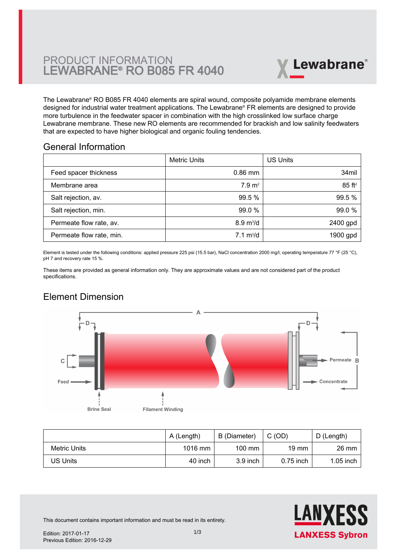

The Lewabrane® RO B085 FR 4040 elements are spiral wound, composite polyamide membrane elements designed for industrial water treatment applications. The Lewabrane® FR elements are designed to provide more turbulence in the feedwater spacer in combination with the high crosslinked low surface charge [Lewabrane membrane. These new RO elements are recommended for brackish and low salinity feedwaters](https://www.pureaqua.com/lanxess-lewabrane-b085-fr-4040-membrane/) that are expected to have higher biological and organic fouling tendencies.

#### General Information

|                          | Metric Units               | <b>US Units</b>      |
|--------------------------|----------------------------|----------------------|
| Feed spacer thickness    | $0.86$ mm                  | 34mil                |
| Membrane area            | 7.9 m <sup>2</sup>         | $85$ ft <sup>2</sup> |
| Salt rejection, av.      | 99.5 %                     | 99.5 %               |
| Salt rejection, min.     | 99.0 %                     | 99.0 %               |
| Permeate flow rate, av.  | $8.9 \text{ m}^3/\text{d}$ | 2400 gpd             |
| Permeate flow rate, min. | $7.1 \text{ m}^3/\text{d}$ | 1900 gpd             |

Element is tested under the following conditions: applied pressure 225 psi (15.5 bar), NaCl concentration 2000 mg/l, operating temperature 77 °F (25 °C), pH 7 and recovery rate 15 %.

These items are provided as general information only. They are approximate values and are not considered part of the product specifications.

# Element Dimension



|              | A (Length) | B (Diameter)     | C(OD)           | D (Length)      |
|--------------|------------|------------------|-----------------|-----------------|
| Metric Units | $1016$ mm  | $100 \text{ mm}$ | $19 \text{ mm}$ | $26 \text{ mm}$ |
| US Units     | 40 inch    | $3.9$ inch       | $0.75$ inch     | $1.05$ inch     |



This document contains important information and must be read in its entirety.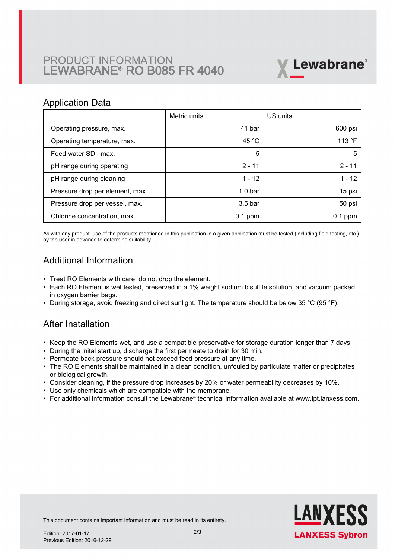# PRODUCT INFORMATION LEWABRANE® RO B085 FR 4040



#### Application Data

|                                 | Metric units       | US units        |
|---------------------------------|--------------------|-----------------|
| Operating pressure, max.        | 41 bar             | 600 psi         |
| Operating temperature, max.     | 45 $^{\circ}$ C    | 113 $\degree$ F |
| Feed water SDI, max.            | 5                  | 5               |
| pH range during operating       | $2 - 11$           | $2 - 11$        |
| pH range during cleaning        | $1 - 12$           | $1 - 12$        |
| Pressure drop per element, max. | 1.0 <sub>bar</sub> | 15 psi          |
| Pressure drop per vessel, max.  | 3.5 <sub>bar</sub> | 50 psi          |
| Chlorine concentration, max.    | $0.1$ ppm          | $0.1$ ppm       |

As with any product, use of the products mentioned in this publication in a given application must be tested (including field testing, etc.) by the user in advance to determine suitability.

# Additional Information

- Treat RO Elements with care; do not drop the element.
- Each RO Element is wet tested, preserved in a 1% weight sodium bisulfite solution, and vacuum packed in oxygen barrier bags.
- During storage, avoid freezing and direct sunlight. The temperature should be below 35 °C (95 °F).

## After Installation

- Keep the RO Elements wet, and use a compatible preservative for storage duration longer than 7 days.
- During the inital start up, discharge the first permeate to drain for 30 min.
- Permeate back pressure should not exceed feed pressure at any time.
- The RO Elements shall be maintained in a clean condition, unfouled by particulate matter or precipitates or biological growth.
- Consider cleaning, if the pressure drop increases by 20% or water permeability decreases by 10%.
- Use only chemicals which are compatible with the membrane.
- For additional information consult the Lewabrane® technical information available at www.lpt.lanxess.com.



This document contains important information and must be read in its entirety.